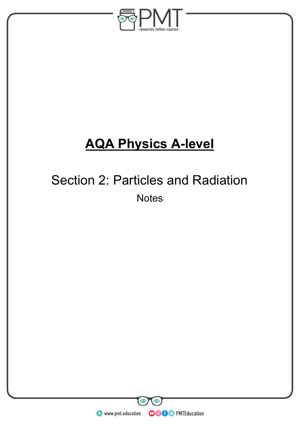

# **AQA Physics A-level**

## Section 2: Particles and Radiation **Notes**

**WWW.pmt.education** 

 $\bullet$ 

 $\bm{\odot}$ 

**OOOO** PMTEducation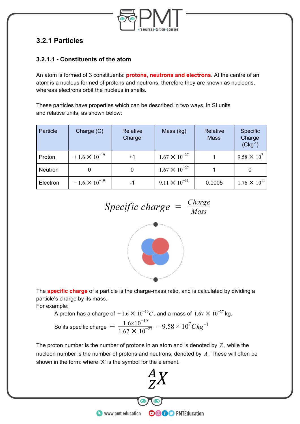

## **3.2.1 Particles**

#### **3.2.1.1 - Constituents of the atom**

An atom is formed of 3 constituents: **protons, neutrons and electrons**. At the centre of an atom is a nucleus formed of protons and neutrons, therefore they are known as nucleons, whereas electrons orbit the nucleus in shells.

These particles have properties which can be described in two ways, in SI units and relative units, as shown below:

| Particle | Charge (C)             | Relative<br>Charge | Mass (kg)              | Relative<br><b>Mass</b> | Specific<br>Charge<br>$(Ckg^{-1})$ |
|----------|------------------------|--------------------|------------------------|-------------------------|------------------------------------|
| Proton   | $+1.6 \times 10^{-19}$ | $+1$               | $1.67 \times 10^{-27}$ |                         | 9.58 $\times$ 10 <sup>7</sup>      |
| Neutron  |                        | 0                  | $1.67 \times 10^{-27}$ |                         |                                    |
| Electron | $-1.6 \times 10^{-19}$ | -1                 | $9.11 \times 10^{-31}$ | 0.0005                  | $1.76 \times 10^{11}$              |

$$
Specific \ charge = \frac{Change}{Mass}
$$



The **specific charge** of a particle is the charge-mass ratio, and is calculated by dividing a particle's charge by its mass.

For example:

A proton has a charge of  $+$  1.6  $\times$   $10^{-19}C$  , and a mass of  $1.67\times 10^{-27}$  kg. So its specific charge  $= \frac{1.6 \times 10^{-19}}{1.67 \times 10^{-27}} = 9.58 \times 10^7 C kg^{-1}$ 

The proton number is the number of protons in an atom and is denoted by  $Z$ , while the nucleon number is the number of protons and neutrons, denoted by  $A$ . These will often be shown in the form: where 'X' is the symbol for the element.

**OOOO** PMTEducation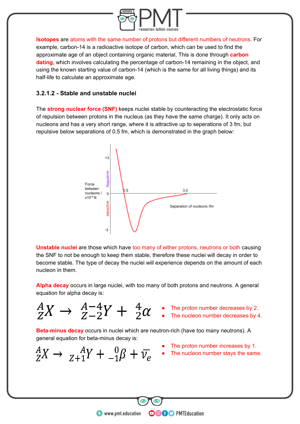

**Isotopes** are atoms with the same number of protons but different numbers of neutrons. For example, carbon-14 is a radioactive isotope of carbon, which can be used to find the approximate age of an object containing organic material. This is done through **carbon dating**, which involves calculating the percentage of carbon-14 remaining in the object, and using the known starting value of carbon-14 (which is the same for all living things) and its half-life to calculate an approximate age.

#### **3.2.1.2 - Stable and unstable nuclei**

The **strong nuclear force (SNF)** keeps nuclei stable by counteracting the electrostatic force of repulsion between protons in the nucleus (as they have the same charge). It only acts on nucleons and has a very short range, where it is attractive up to seperations of 3 fm, but repulsive below separations of 0.5 fm, which is demonstrated in the graph below:



**Unstable nuclei** are those which have too many of either protons, neutrons or both causing the SNF to not be enough to keep them stable, therefore these nuclei will decay in order to become stable. The type of decay the nuclei will experience depends on the amount of each nucleon in them.

**Alpha decay** occurs in large nuclei, with too many of both protons and neutrons. A general equation for alpha decay is:

- - The proton number decreases by 2.
	- The nucleon number decreases by 4.

**Beta-minus decay** occurs in nuclei which are neutron-rich (have too many neutrons). A general equation for beta-minus decay is:

• The proton number increases by 1.

**OOOO** PMTEducation

• The nucleon number stays the same.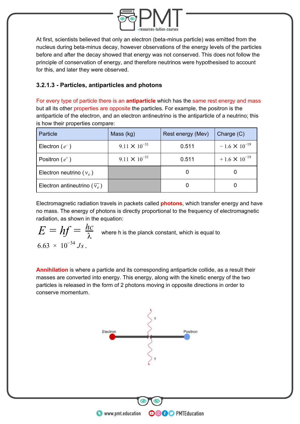

At first, scientists believed that only an electron (beta-minus particle) was emitted from the nucleus during beta-minus decay, however observations of the energy levels of the particles before and after the decay showed that energy was not conserved. This does not follow the principle of conservation of energy, and therefore neutrinos were hypothesised to account for this, and later they were observed.

#### **3.2.1.3 - Particles, antiparticles and photons**

For every type of particle there is an **antiparticle** which has the same rest energy and mass but all its other properties are opposite the particles. For example, the positron is the antiparticle of the electron, and an electron antineutrino is the antiparticle of a neutrino; this is how their properties compare:

| Particle                                   | Mass (kg)              | Rest energy (Mev) | Charge $(C)$           |
|--------------------------------------------|------------------------|-------------------|------------------------|
| Electron $(e^-)$                           | $9.11 \times 10^{-31}$ | 0.511             | $-1.6 \times 10^{-19}$ |
| Positron $(e^+)$                           | $9.11 \times 10^{-31}$ | 0.511             | $+1.6 \times 10^{-19}$ |
| Electron neutrino ( $v_e$ )                |                        |                   |                        |
| Electron antineutrino ( $\overline{v_e}$ ) |                        |                   |                        |

Electromagnetic radiation travels in packets called **photons**, which transfer energy and have no mass. The energy of photons is directly proportional to the frequency of electromagnetic radiation, as shown in the equation:

 $E=\displaystyle{hf=\frac{hc}{\lambda}}$  where h is the planck constant, which is equal to  $6.63 \times 10^{-34}$  Js.

**Annihilation** is where a particle and its corresponding antiparticle collide, as a result their masses are converted into energy. This energy, along with the kinetic energy of the two particles is released in the form of 2 photons moving in opposite directions in order to conserve momentum.

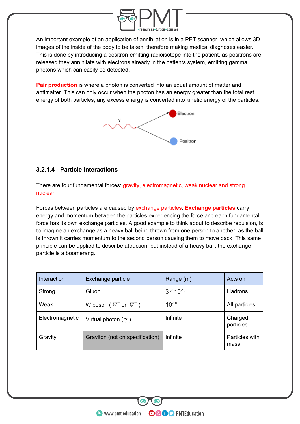

An important example of an application of annihilation is in a PET scanner, which allows 3D images of the inside of the body to be taken, therefore making medical diagnoses easier. This is done by introducing a positron-emitting radioisotope into the patient, as positrons are released they annihilate with electrons already in the patients system, emitting gamma photons which can easily be detected.

**Pair production** is where a photon is converted into an equal amount of matter and antimatter. This can only occur when the photon has an energy greater than the total rest energy of both particles, any excess energy is converted into kinetic energy of the particles.



#### **3.2.1.4 - Particle interactions**

There are four fundamental forces: gravity, electromagnetic, weak nuclear and strong nuclear.

Forces between particles are caused by exchange particles. **Exchange particles** carry energy and momentum between the particles experiencing the force and each fundamental force has its own exchange particles. A good example to think about to describe repulsion, is to imagine an exchange as a heavy ball being thrown from one person to another, as the ball is thrown it carries momentum to the second person causing them to move back. This same principle can be applied to describe attraction, but instead of a heavy ball, the exchange particle is a boomerang.

| Interaction     | Exchange particle               | Range (m)           | Acts on                |
|-----------------|---------------------------------|---------------------|------------------------|
| Strong          | Gluon                           | $3 \times 10^{-15}$ | Hadrons                |
| Weak            | W boson ( $W^+$ or $W^-$ )      | $10^{-18}$          | All particles          |
| Electromagnetic | Virtual photon $(\gamma)$       | Infinite            | Charged<br>particles   |
| Gravity         | Graviton (not on specification) | Infinite            | Particles with<br>mass |

**OOOO** PMTEducation

**C** www.pmt.education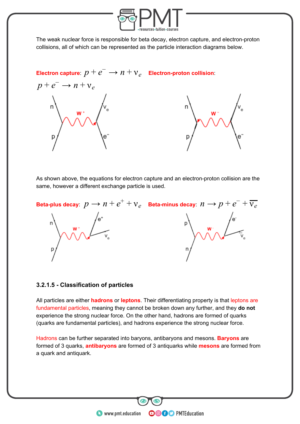

The weak nuclear force is responsible for beta decay, electron capture, and electron-proton collisions, all of which can be represented as the particle interaction diagrams below.

 $\epsilon$  Electron capture:  $p + e^- \rightarrow n + \nu_e$  Electron-proton collision:  $p + e^- \rightarrow n + v_e$ 

As shown above, the equations for electron capture and an electron-proton collision are the same, however a different exchange particle is used.



#### **3.2.1.5 - Classification of particles**

All particles are either **hadrons** or **leptons**. Their differentiating property is that leptons are fundamental particles, meaning they cannot be broken down any further, and they **do not** experience the strong nuclear force. On the other hand, hadrons are formed of quarks (quarks are fundamental particles), and hadrons experience the strong nuclear force.

Hadrons can be further separated into baryons, antibaryons and mesons. **Baryons** are formed of 3 quarks, **antibaryons** are formed of 3 antiquarks while **mesons** are formed from a quark and antiquark.

**OOOO** PMTEducation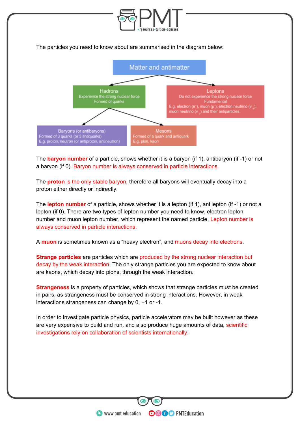

The **baryon number** of a particle, shows whether it is a baryon (if 1), antibaryon (if -1) or not a baryon (if 0). Baryon number is always conserved in particle interactions.

The **proton** is the only stable baryon, therefore all baryons will eventually decay into a proton either directly or indirectly.

The **lepton number** of a particle, shows whether it is a lepton (if 1), antilepton (if -1) or not a lepton (if 0). There are two types of lepton number you need to know, electron lepton number and muon lepton number, which represent the named particle. Lepton number is always conserved in particle interactions.

A **muon** is sometimes known as a "heavy electron", and muons decay into electrons.

**Strange particles** are particles which are produced by the strong nuclear interaction but decay by the weak interaction. The only strange particles you are expected to know about are kaons, which decay into pions, through the weak interaction.

**Strangeness** is a property of particles, which shows that strange particles must be created in pairs, as strangeness must be conserved in strong interactions. However, in weak interactions strangeness can change by 0, +1 or -1.

In order to investigate particle physics, particle accelerators may be built however as these are very expensive to build and run, and also produce huge amounts of data, scientific investigations rely on collaboration of scientists internationally.

**OOOO** PMTEducation

**C** www.pmt.education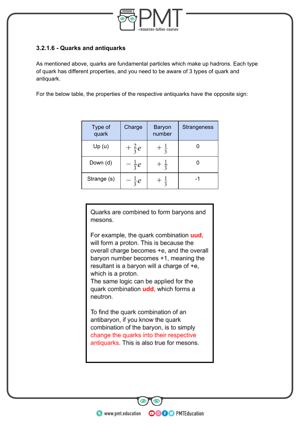

#### **3.2.1.6 - Quarks and antiquarks**

As mentioned above, quarks are fundamental particles which make up hadrons. Each type of quark has different properties, and you need to be aware of 3 types of quark and antiquark.

For the below table, the properties of the respective antiquarks have the opposite sign:

| Type of<br>quark | Charge          | <b>Baryon</b><br>number | <b>Strangeness</b> |
|------------------|-----------------|-------------------------|--------------------|
| Up(u)            | $+\frac{2}{3}e$ | $\frac{1}{3}$           |                    |
| Down (d)         | $-\frac{1}{3}e$ | $\frac{1}{3}$           |                    |
| Strange (s)      | $rac{1}{3}$ e   | $\frac{1}{3}$           |                    |

Quarks are combined to form baryons and mesons.

For example, the quark combination uud, will form a proton. This is because the overall charge becomes +e, and the overall baryon number becomes +1, meaning the resultant is a baryon will a charge of +e, which is a proton.

The same logic can be applied for the quark combination udd, which forms a neutron.

To find the quark combination of an antibaryon, if you know the quark combination of the baryon, is to simply change the quarks into their respective antiquarks. This is also true for mesons.

**OOOO** PMTEducation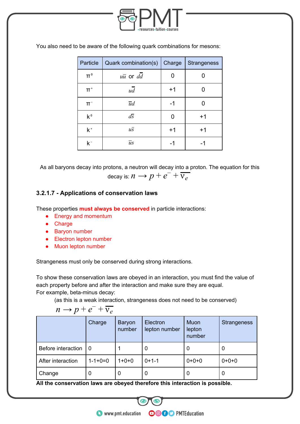

| Particle    | Quark combination(s)  | Charge | Strangeness |
|-------------|-----------------------|--------|-------------|
| $\Pi^0$     | $u\overline{u}$ or dd |        |             |
| $\Pi^+$     | ud                    | $+1$   |             |
| $\Pi^-$     | $\overline{u}d$       | -1     |             |
| $k^{\circ}$ | $d\overline{s}$       |        | $+1$        |
| $k^*$       | $u\overline{s}$       | $+1$   | $+1$        |
| $k-$        | $\overline{u}$ s      | -1     |             |

You also need to be aware of the following quark combinations for mesons:

As all baryons decay into protons, a neutron will decay into a proton. The equation for this decay is:  $n \rightarrow p + e^- + \overline{v_e}$ 

#### **3.2.1.7 - Applications of conservation laws**

These properties **must always be conserved** in particle interactions:

- Energy and momentum
- Charge
- Baryon number
- Electron lepton number
- Muon lepton number

Strangeness must only be conserved during strong interactions.

To show these conservation laws are obeyed in an interaction, you must find the value of each property before and after the interaction and make sure they are equal. For example, beta-minus decay:

(as this is a weak interaction, strangeness does not need to be conserved)

 $n \rightarrow p + e^- + \overline{v_e}$ 

|                    | Charge          | Baryon<br>number | Electron<br>lepton number | Muon<br>lepton<br>number | <b>Strangeness</b> |
|--------------------|-----------------|------------------|---------------------------|--------------------------|--------------------|
| Before interaction | -0              |                  | 0                         | 0                        | 0                  |
| After interaction  | $1 - 1 + 0 = 0$ | $1+0+0$          | $0+1-1$                   | $0+0+0$                  | $0+0+0$            |
| Change             | 0               | 0                | 0                         | 0                        | 0                  |

**OOOO** PMTEducation

**All the conservation laws are obeyed therefore this interaction is possible.**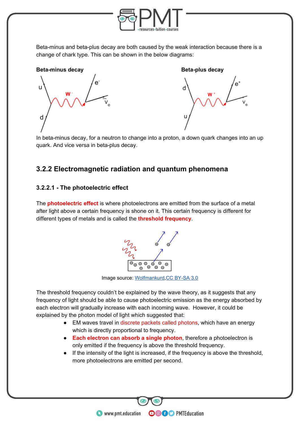

Beta-minus and beta-plus decay are both caused by the weak interaction because there is a change of chark type. This can be shown in the below diagrams:





In beta-minus decay, for a neutron to change into a proton, a down quark changes into an up quark. And vice versa in beta-plus decay.

### **3.2.2 Electromagnetic radiation and quantum phenomena**

#### **3.2.2.1 - The photoelectric effect**

The **photoelectric effect** is where photoelectrons are emitted from the surface of a metal after light above a certain frequency is shone on it. This certain frequency is different for different types of metals and is called the **threshold frequency**.



Image source: [Wolfmankurd,](https://commons.wikimedia.org/wiki/File:Photoelectric_effect.svg) [CC BY-SA 3.0](https://creativecommons.org/licenses/by-sa/3.0/deed.en)

The threshold frequency couldn't be explained by the wave theory, as it suggests that any frequency of light should be able to cause photoelectric emission as the energy absorbed by each electron will gradually increase with each incoming wave. However, it could be explained by the photon model of light which suggested that:

- EM waves travel in discrete packets called photons, which have an energy which is directly proportional to frequency.
- **Each electron can absorb a single photon**, therefore a photoelectron is only emitted if the frequency is above the threshold frequency.
- If the intensity of the light is increased, if the frequency is above the threshold, more photoelectrons are emitted per second.

**OOOO** PMTEducation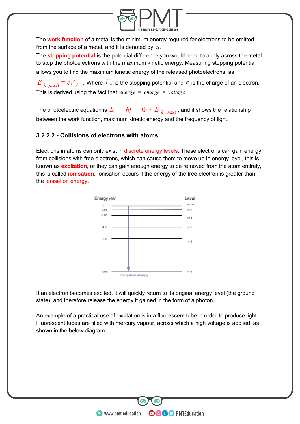

The **work function** of a metal is the minimum energy required for electrons to be emitted from the surface of a metal, and it is denoted by  $\varphi$ .

The **stopping potential** is the potential difference you would need to apply across the metal to stop the photoelectrons with the maximum kinetic energy. Measuring stopping potential allows you to find the maximum kinetic energy of the released photoelectrons, as

 $E$ <sub>*k*(*max*) =  $eV$ <sub>*s*</sub> . Where  $V$ <sub>*s*</sub> is the stopping potential and  $e$  is the charge of an electron.</sub> This is derived using the fact that  $energy = charge \times voltage$ .

The photoelectric equation is  $E = hf = \Phi + E_{k(max)}$ , and it shows the relationship between the work function, maximum kinetic energy and the frequency of light.

#### **3.2.2.2 - Collisions of electrons with atoms**

Electrons in atoms can only exist in discrete energy levels. These electrons can gain energy from collisions with free electrons, which can cause them to move up in energy level, this is known as **excitation**, or they can gain enough energy to be removed from the atom entirely, this is called **ionisation**. Ionisation occurs if the energy of the free electron is greater than the ionisation energy.



If an electron becomes excited, it will quickly return to its original energy level (the ground state), and therefore release the energy it gained in the form of a photon.

An example of a practical use of excitation is in a fluorescent tube in order to produce light. Fluorescent tubes are filled with mercury vapour, across which a high voltage is applied, as shown in the below diagram:

**OOOO** PMTEducation

**C** www.pmt.education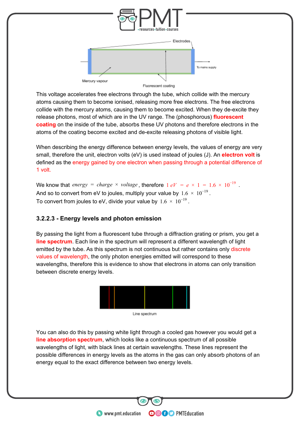

This voltage accelerates free electrons through the tube, which collide with the mercury atoms causing them to become ionised, releasing more free electrons. The free electrons collide with the mercury atoms, causing them to become excited. When they de-excite they release photons, most of which are in the UV range. The (phosphorous) **fluorescent coating** on the inside of the tube, absorbs these UV photons and therefore electrons in the atoms of the coating become excited and de-excite releasing photons of visible light.

When describing the energy difference between energy levels, the values of energy are very small, therefore the unit, electron volts (eV) is used instead of joules (J). An **electron volt** is defined as the energy gained by one electron when passing through a potential difference of 1 volt.

We know that *energy* = *charge*  $\times$  *voltage*, therefore  $1 eV = e \times 1 = 1.6 \times 10^{-19}$ . And so to convert from eV to joules, multiply your value by  $1.6 \times 10^{-19}$  . To convert from joules to eV, divide your value by  $1.6 \times 10^{-19}$  .

#### **3.2.2.3 - Energy levels and photon emission**

By passing the light from a fluorescent tube through a diffraction grating or prism, you get a **line spectrum**. Each line in the spectrum will represent a different wavelength of light emitted by the tube. As this spectrum is not continuous but rather contains only discrete values of wavelength, the only photon energies emitted will correspond to these wavelengths, therefore this is evidence to show that electrons in atoms can only transition between discrete energy levels.



Line spectrum

You can also do this by passing white light through a cooled gas however you would get a **line absorption spectrum**, which looks like a continuous spectrum of all possible wavelengths of light, with black lines at certain wavelengths. These lines represent the possible differences in energy levels as the atoms in the gas can only absorb photons of an energy equal to the exact difference between two energy levels.

**OOOO** PMTEducation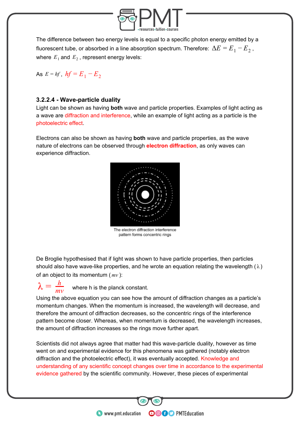

The difference between two energy levels is equal to a specific photon energy emitted by a fluorescent tube, or absorbed in a line absorption spectrum. Therefore:  $\Delta E = E_1 - E_2$ , where  $E_1$  and  $E_2$  , represent energy levels:

As  $E = hf$ ,  $hf = E_1 - E_2$ 

#### **3.2.2.4 - Wave-particle duality**

Light can be shown as having **both** wave and particle properties. Examples of light acting as a wave are diffraction and interference, while an example of light acting as a particle is the photoelectric effect.

Electrons can also be shown as having **both** wave and particle properties, as the wave nature of electrons can be observed through **electron diffraction**, as only waves can experience diffraction.



The electron diffraction interference pattern forms concentric rings

De Broglie hypothesised that if light was shown to have particle properties, then particles should also have wave-like properties, and he wrote an equation relating the wavelength ( $\lambda$ ) of an object to its momentum  $(mv)$ :

where h is the planck constant. *h mv*

Using the above equation you can see how the amount of diffraction changes as a particle's momentum changes. When the momentum is increased, the wavelength will decrease, and therefore the amount of diffraction decreases, so the concentric rings of the interference pattern become closer. Whereas, when momentum is decreased, the wavelength increases, the amount of diffraction increases so the rings move further apart.

Scientists did not always agree that matter had this wave-particle duality, however as time went on and experimental evidence for this phenomena was gathered (notably electron diffraction and the photoelectric effect), it was eventually accepted. Knowledge and understanding of any scientific concept changes over time in accordance to the experimental evidence gathered by the scientific community. However, these pieces of experimental

**OOOO** PMTEducation